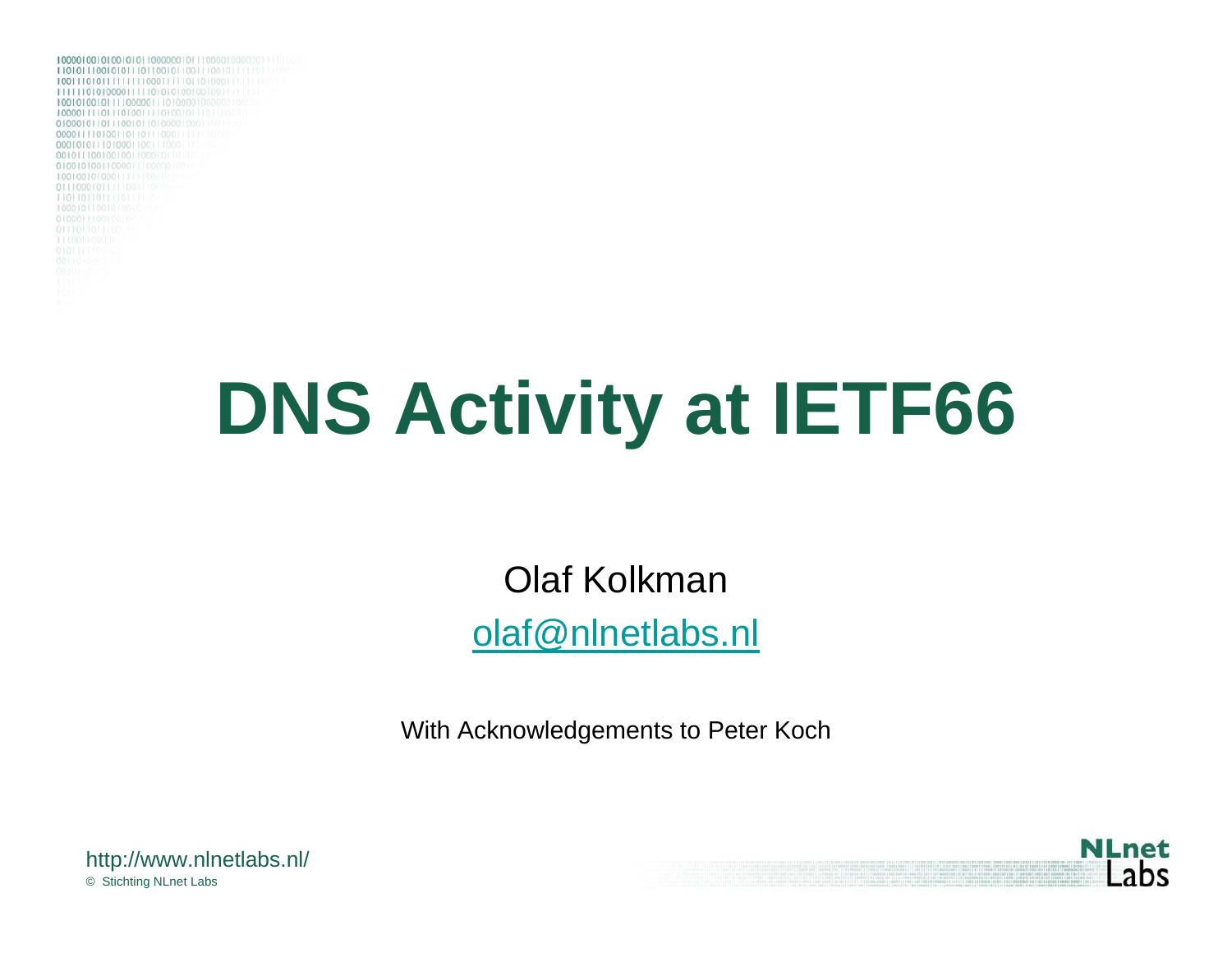

# **DNS Activity at IETF66**

Olaf Kolkman[olaf@nlnetlabs.nl](mailto:olaf@nlnetlabs.nl)

With Acknowledgements to Peter Koch



© Stichting NLnet Labs http://www.nlnetlabs.nl/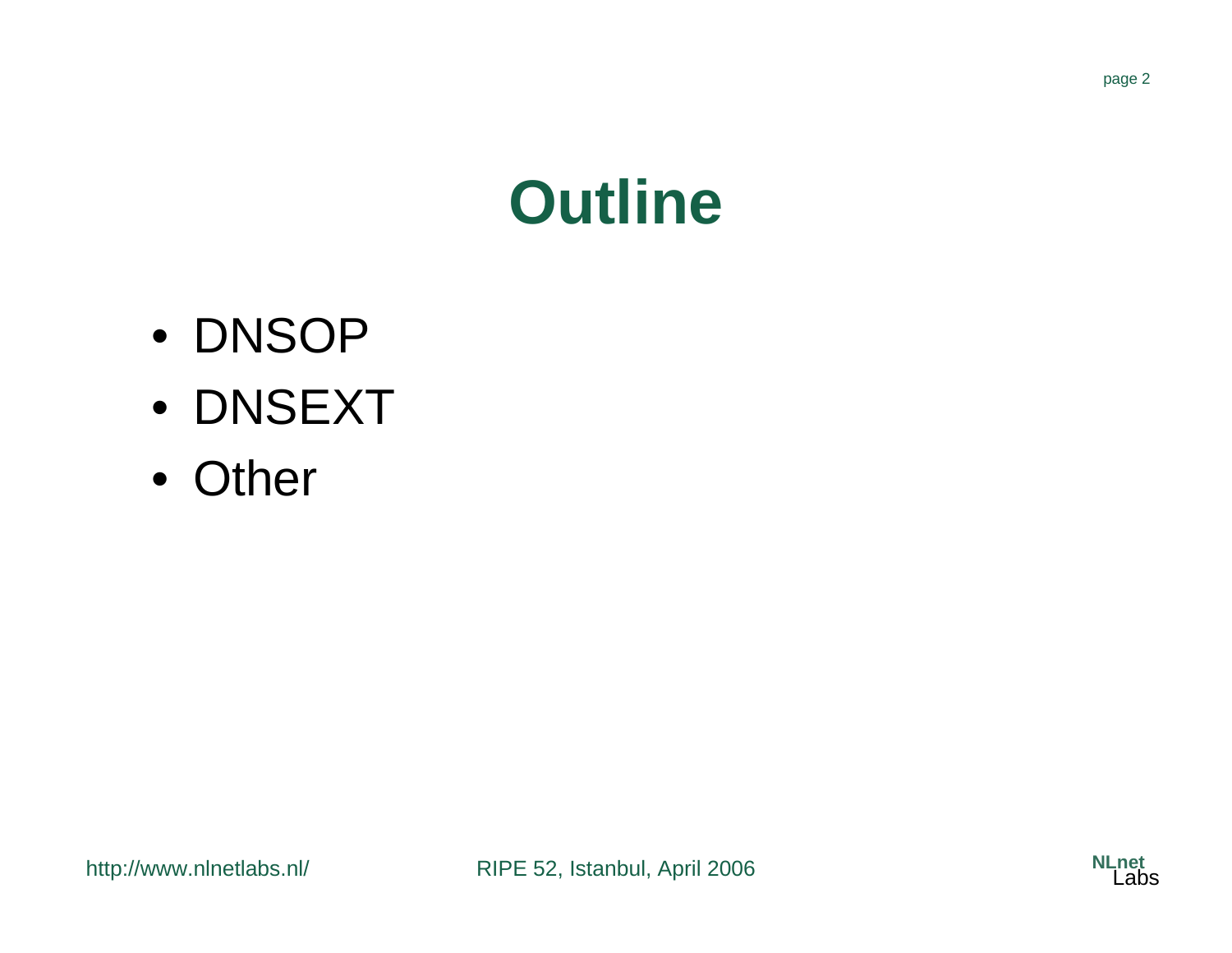

#### **Outline**

- DNSOP
- DNSEXT
- Other

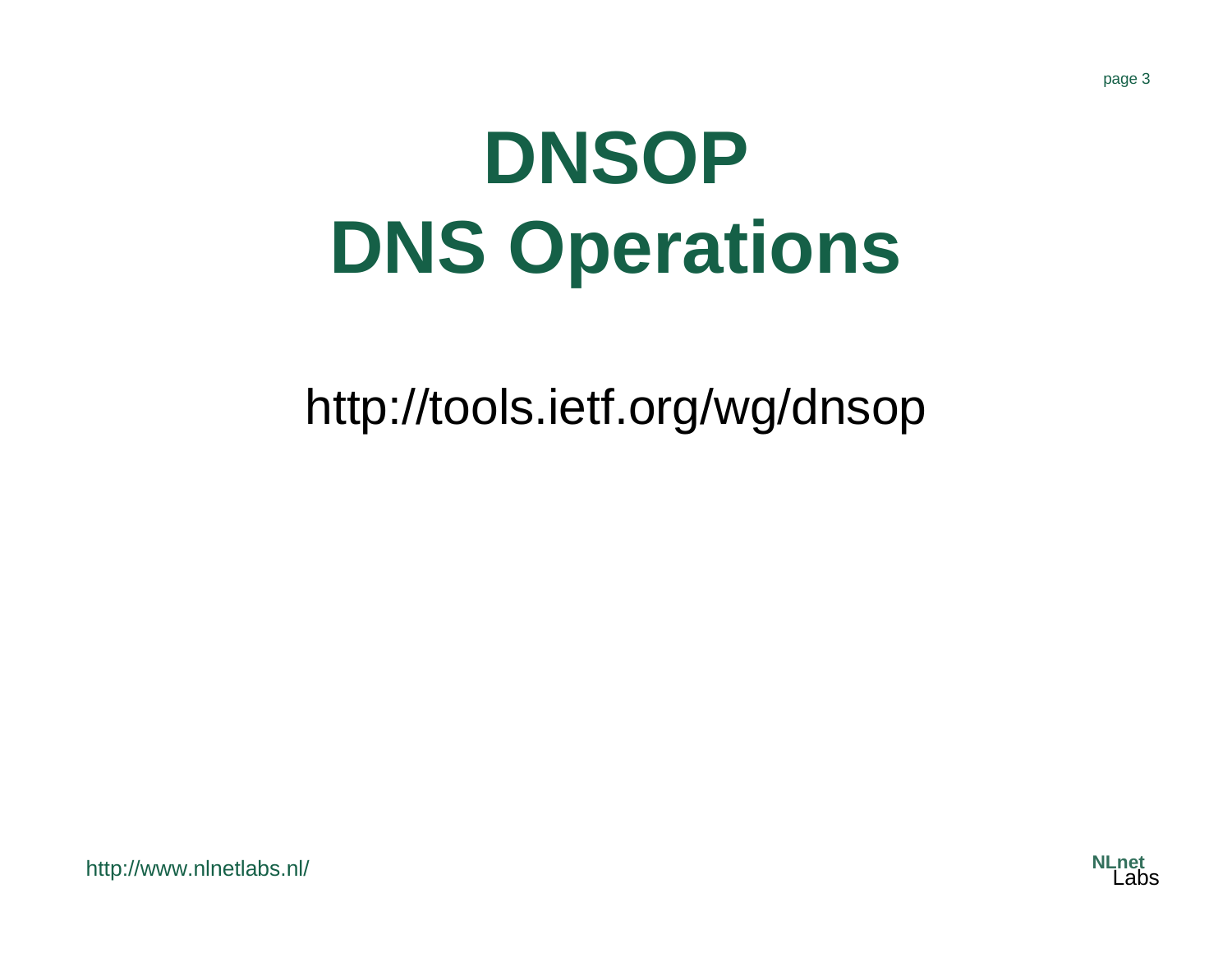# **DNSOP DNS Operations**

http://tools.ietf.org/wg/dnsop

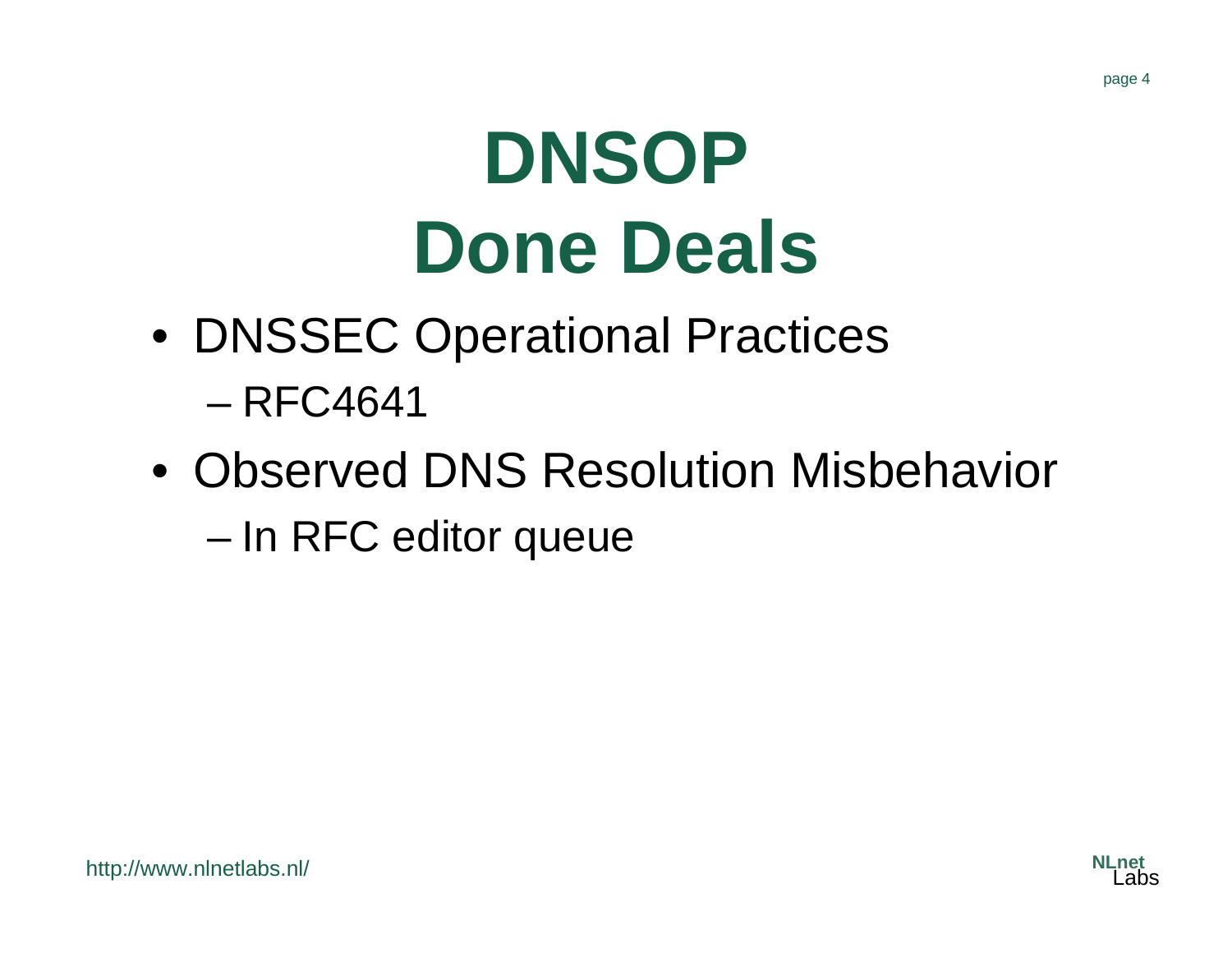# **DNSOP Done Deals**

- DNSSEC Operational Practices – RFC4641
- Observed DNS Resolution Misbehavior and the state of the state In RFC editor queue

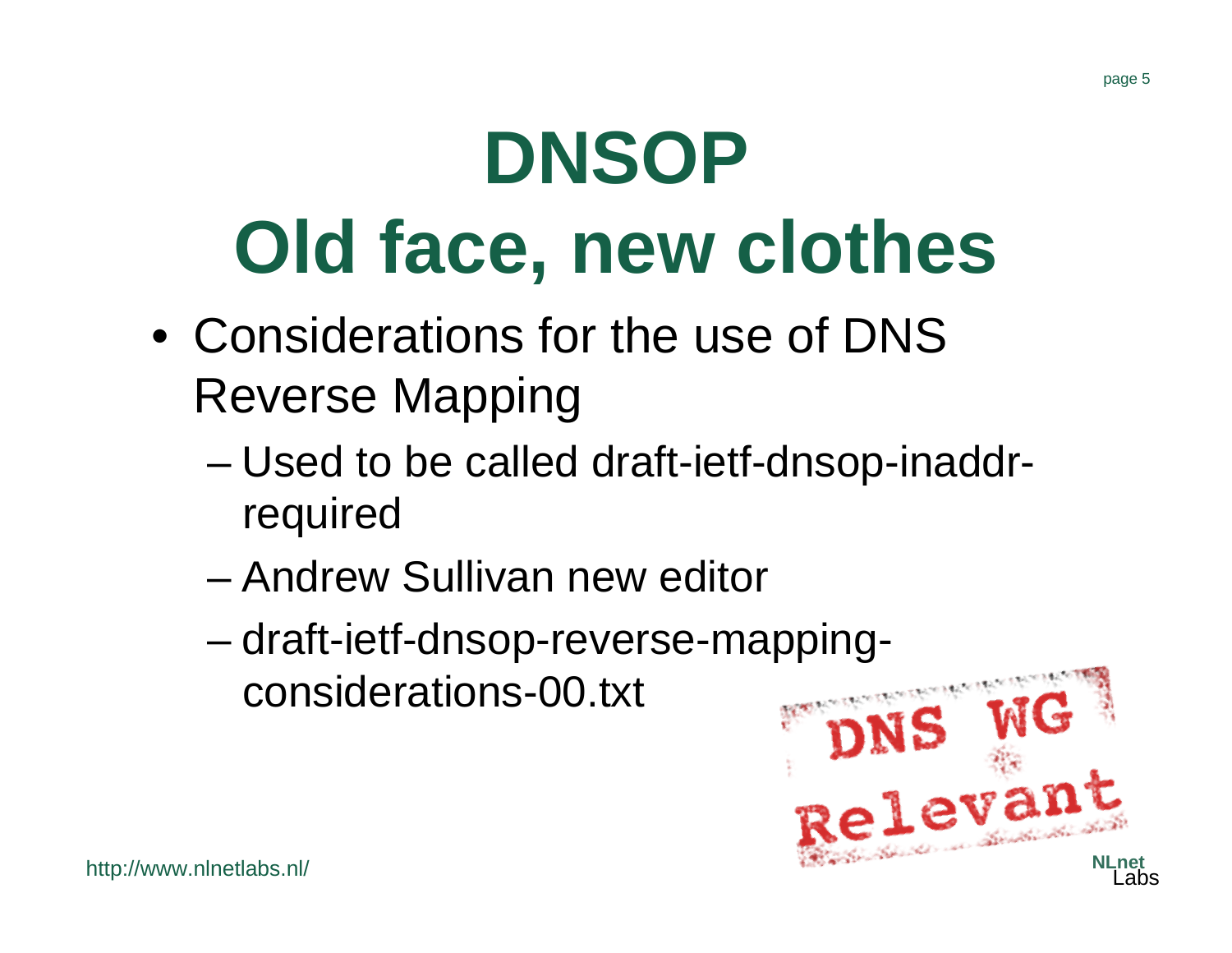# **DNSOP Old face, new clothes**

- Considerations for the use of DNS Reverse Mapping
	- and the state of the state Used to be called draft-ietf-dnsop-inaddrrequired
	- Andrew Sullivan new editor
	- and the state of the state draft-ietf-dnsop-reverse-mappingconsiderations-00.txt

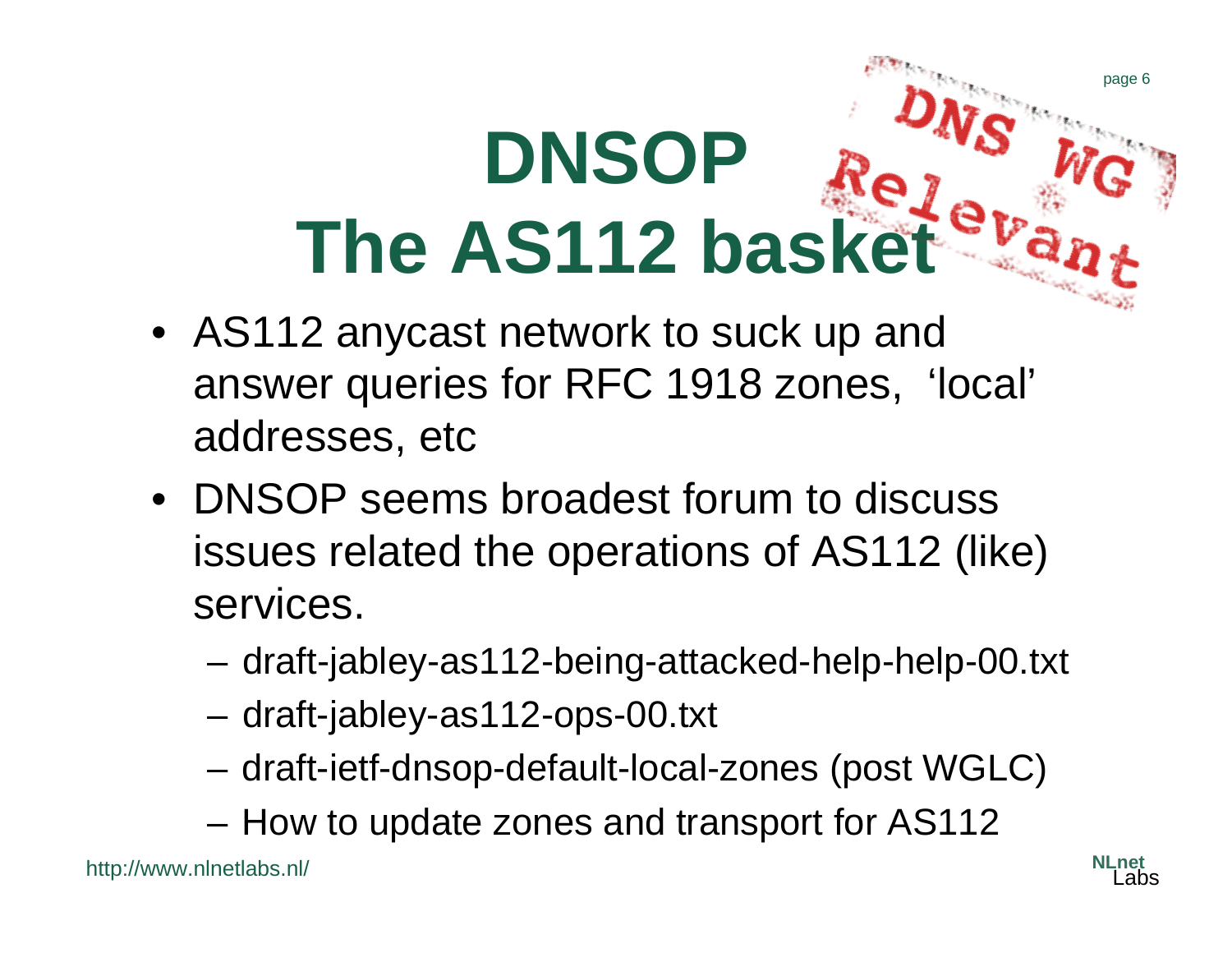# **DNSOP The AS112 basket**

- AS112 anycast network to suck up and answer queries for RFC 1918 zones, 'local' addresses, etc
- DNSOP seems broadest forum to discuss issues related the operations of AS112 (like) services.
	- and the state of the draft-jabley-as112-being-attacked-help-help-00.txt
	- and the state of the draft-jabley-as112-ops-00.txt
	- and the state of the draft-ietf-dnsop-default-local-zones (post WGLC)
	- and the state of the How to update zones and transport for AS112

http://www.nlnetlabs.nl/

page 6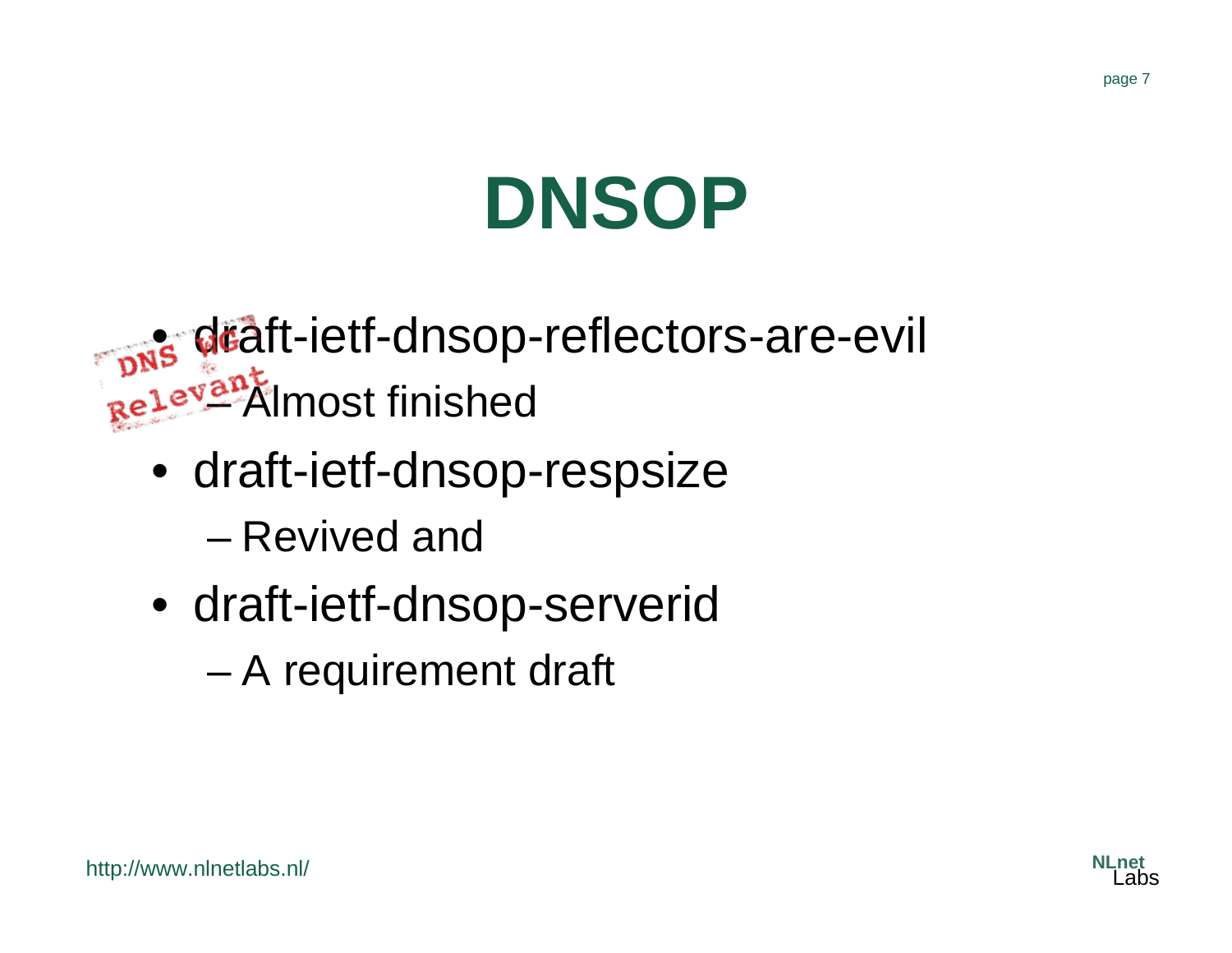# **DNSOP**

• draft-ietf-dnsop-reflectors-are-evil **– Almost finished** 

- draft-ietf-dnsop-respsize – Revived and
- draft-ietf-dnsop-serverid
	- –A requirement draft

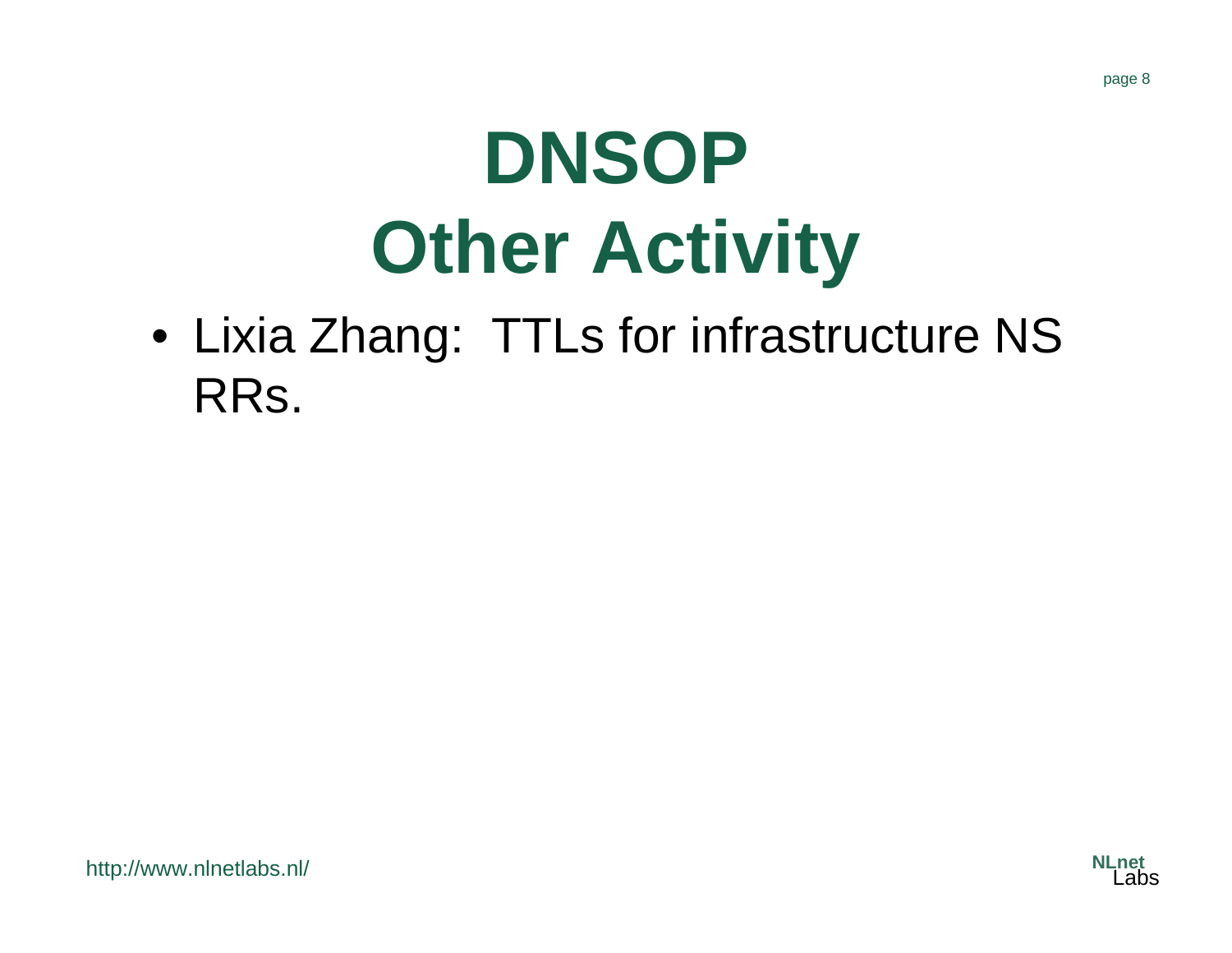# **DNSOP Other Activity**

• Lixia Zhang: TTLs for infrastructure NS RRs.

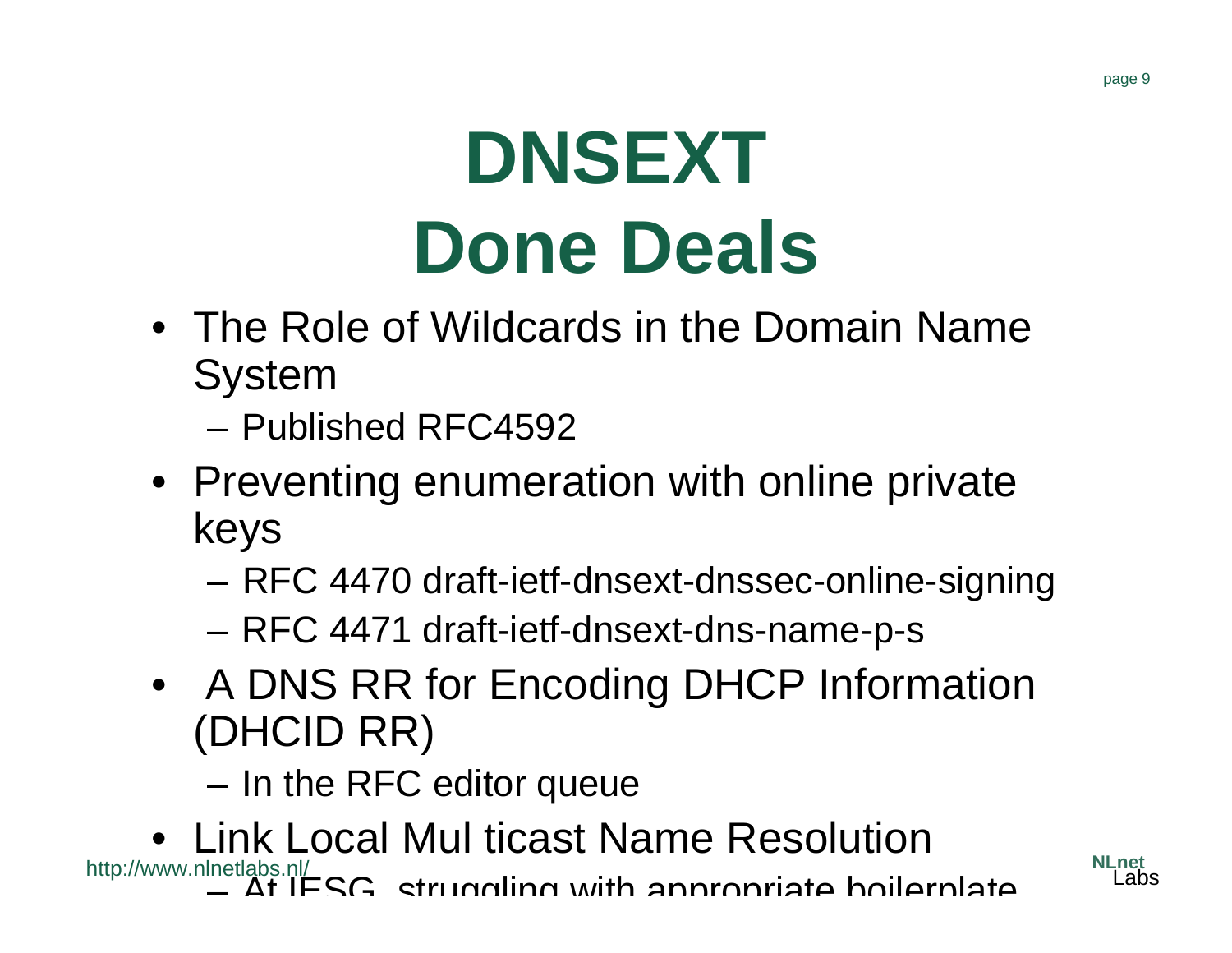### **DNSEXT Done Deals**

- The Role of Wildcards in the Domain Name System
	- Published RFC4592
- Preventing enumeration with online private keys
	- **Links of the Common** RFC 4470 draft-ietf-dnsext-dnssec-online-signing
	- and the state of the RFC 4471 draft-ietf-dnsext-dns-name-p-s
- A DNS RR for Encoding DHCP Information (DHCID RR)
	- and the state of the In the RFC editor queue
- http://www.nlnetlabs.nl/ • Link Local Mul ticast Name Resolution $-$  At IESG, struggling with appropriate boilerplate

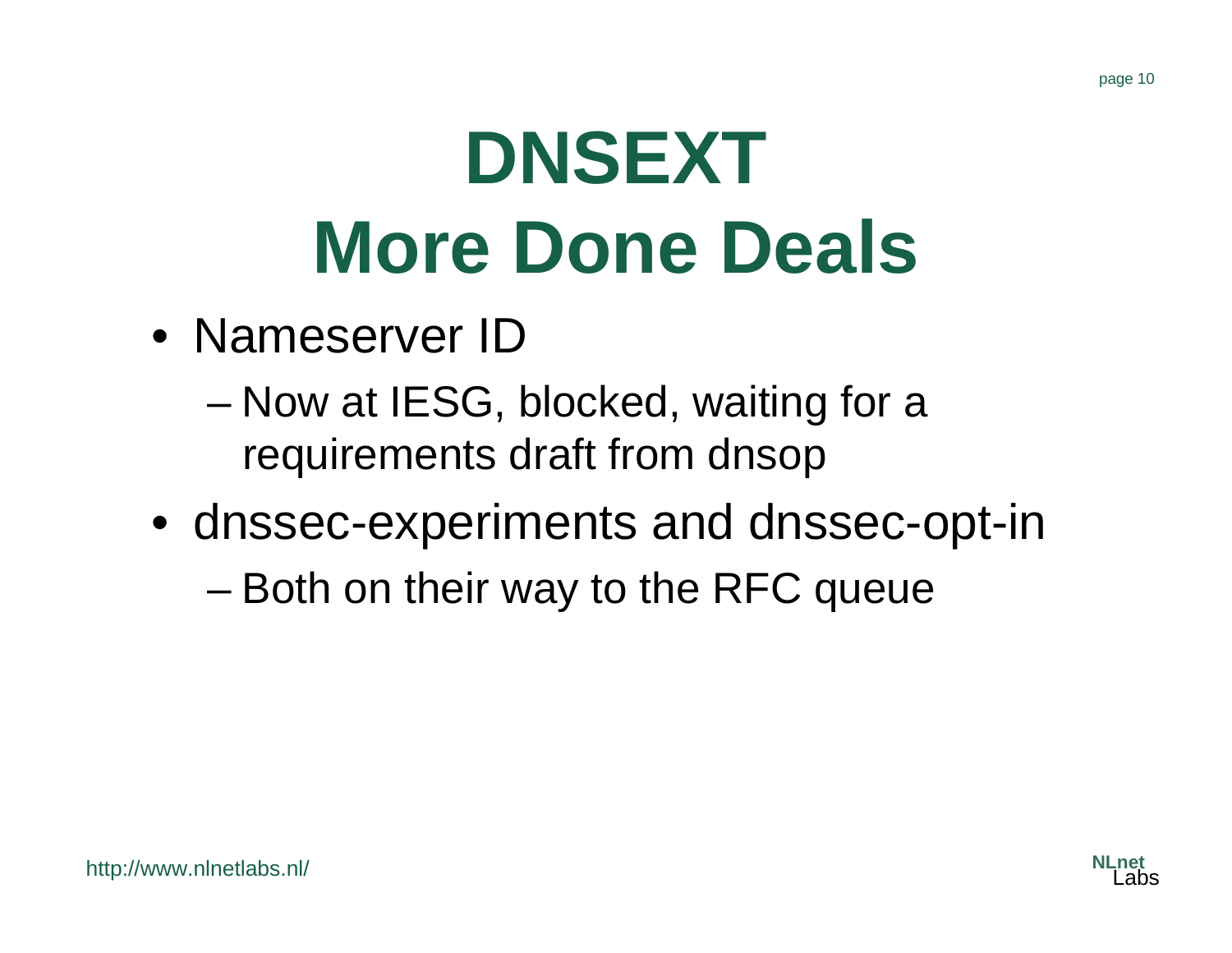# **DNSEXT More Done Deals**

- Nameserver ID
	- – Now at IESG, blocked, waiting for a requirements draft from dnsop
- dnssec-experiments and dnssec-opt-in
	- –Both on their way to the RFC queue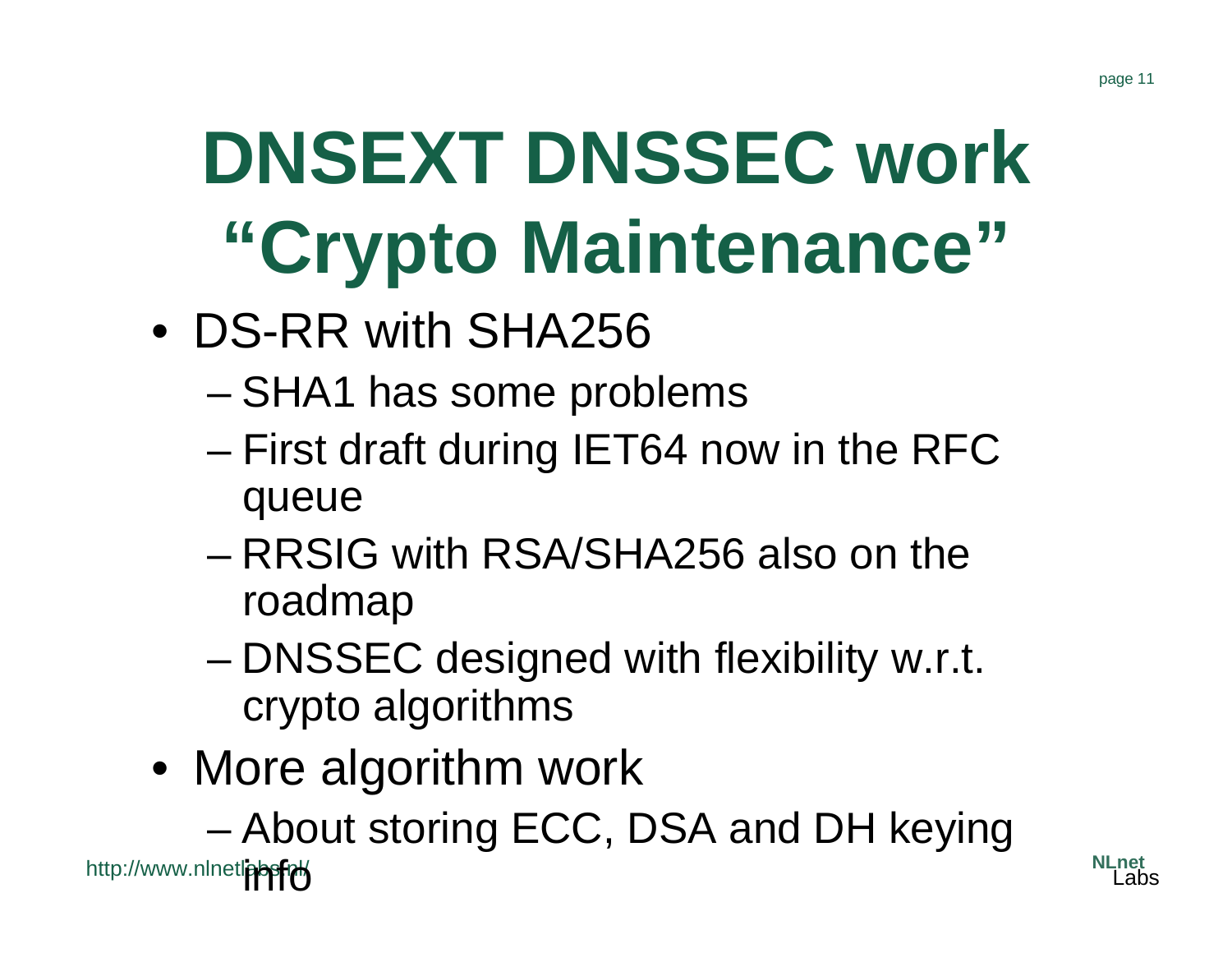# **DNSEXT DNSSEC work "Crypto Maintenance"**

- DS-RR with SHA256
	- and the state of the state SHA1 has some problems
	- – First draft during IET64 now in the RFC queue
	- RRSIG with RSA/SHA256 also on the roadmap
	- and the state of the state DNSSEC designed with flexibility w.r.t. crypto algorithms
- More algorithm work

and the state of the state About storing ECC, DSA and DH keying

http://www.nlnetl<mark>absfry</mark>

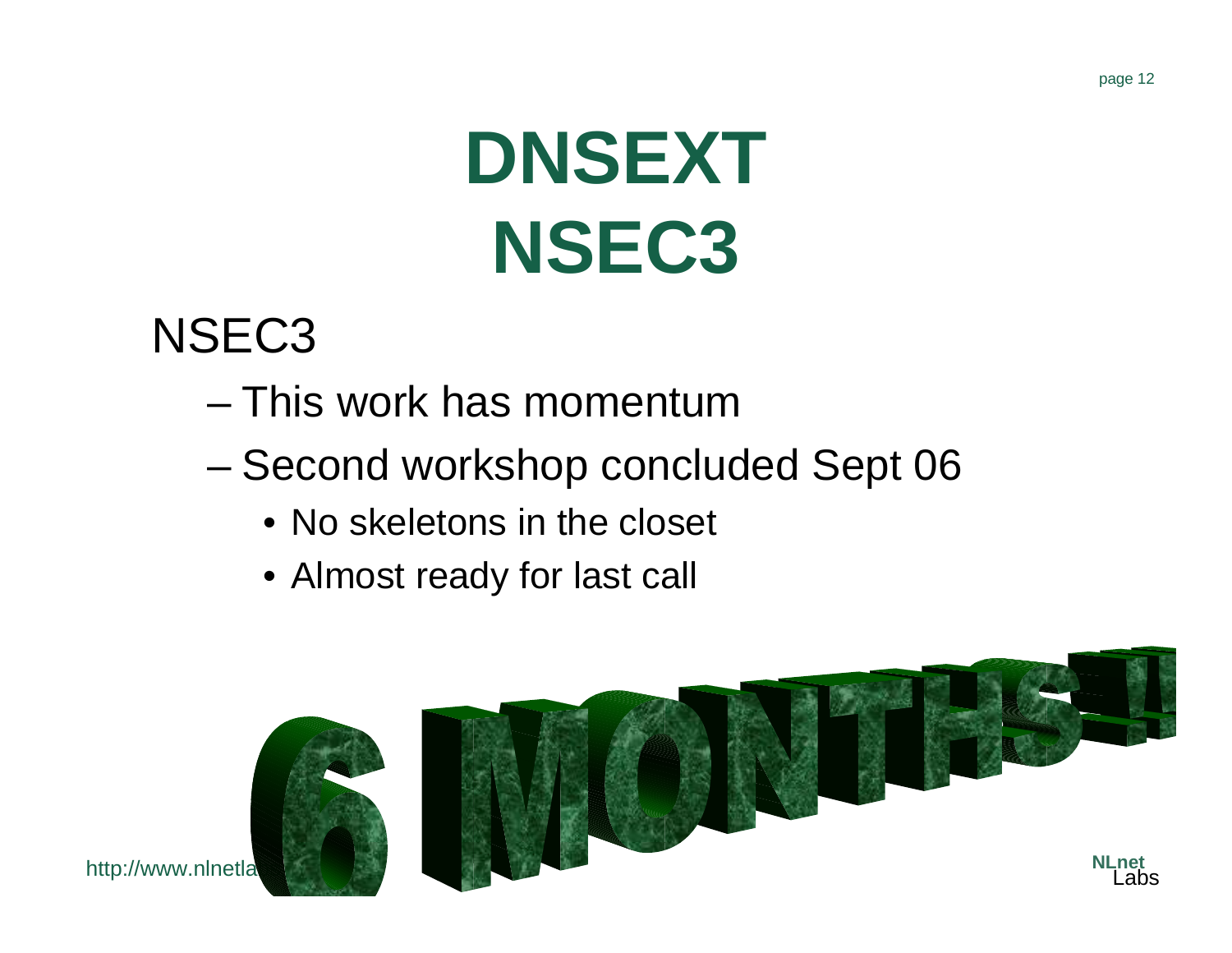#### page 12

# **DNSEXT NSEC3**

#### NSEC3

http://www.nlnetla

- This work has momentum
- and the state of the state Second workshop concluded Sept 06
	- No skeletons in the closet
	- Almost ready for last call

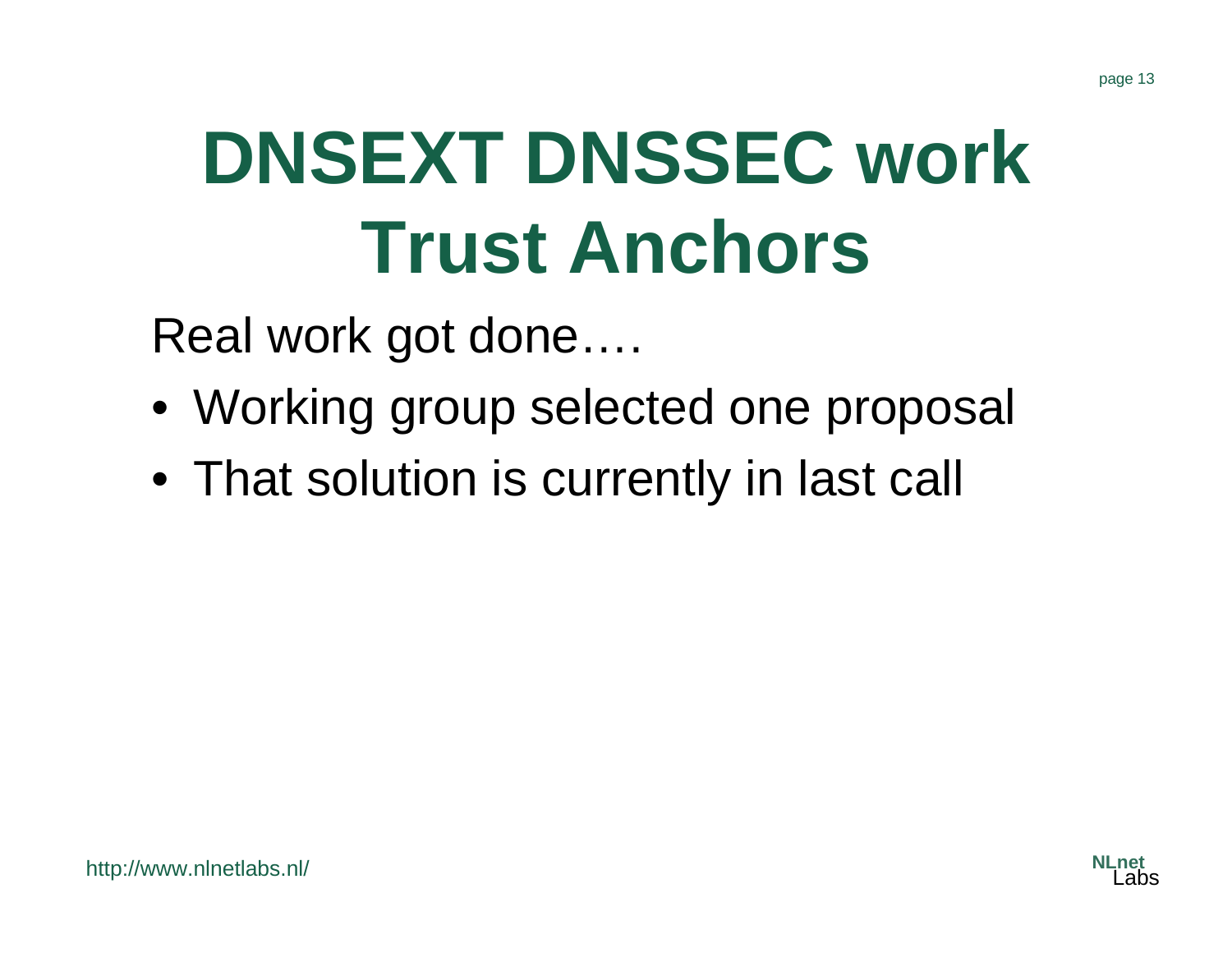# **DNSEXT DNSSEC work Trust Anchors**

Real work got done….

- Working group selected one proposal
- That solution is currently in last call

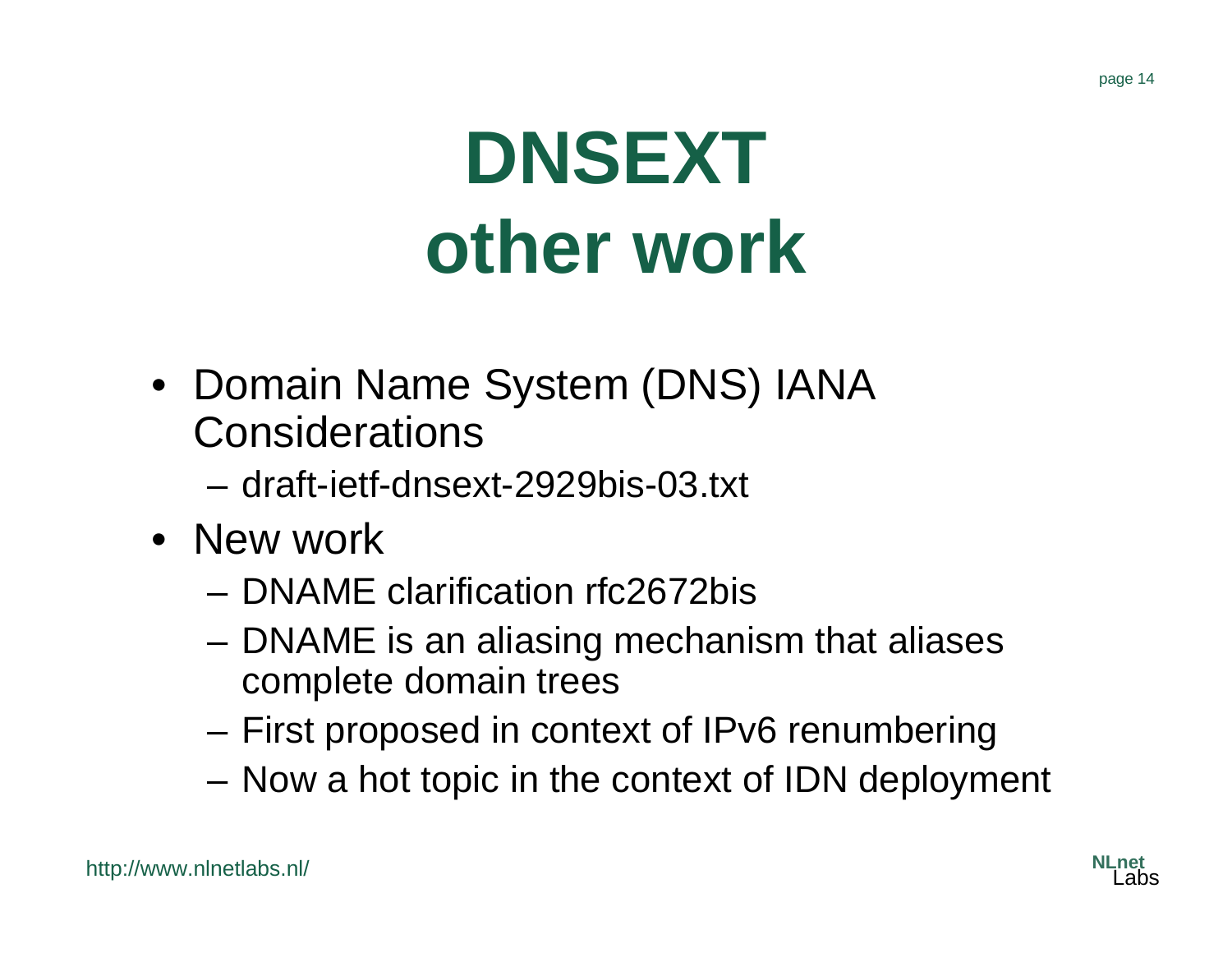#### page 14

## **DNSEXT other work**

- Domain Name System (DNS) IANA **Considerations** 
	- draft-ietf-dnsext-2929bis-03.txt
- New work
	- DNAME clarification rfc2672bis
	- and the state of the DNAME is an aliasing mechanism that aliases complete domain trees
	- **Links of the Common** First proposed in context of IPv6 renumbering
	- and the state of the Now a hot topic in the context of IDN deployment

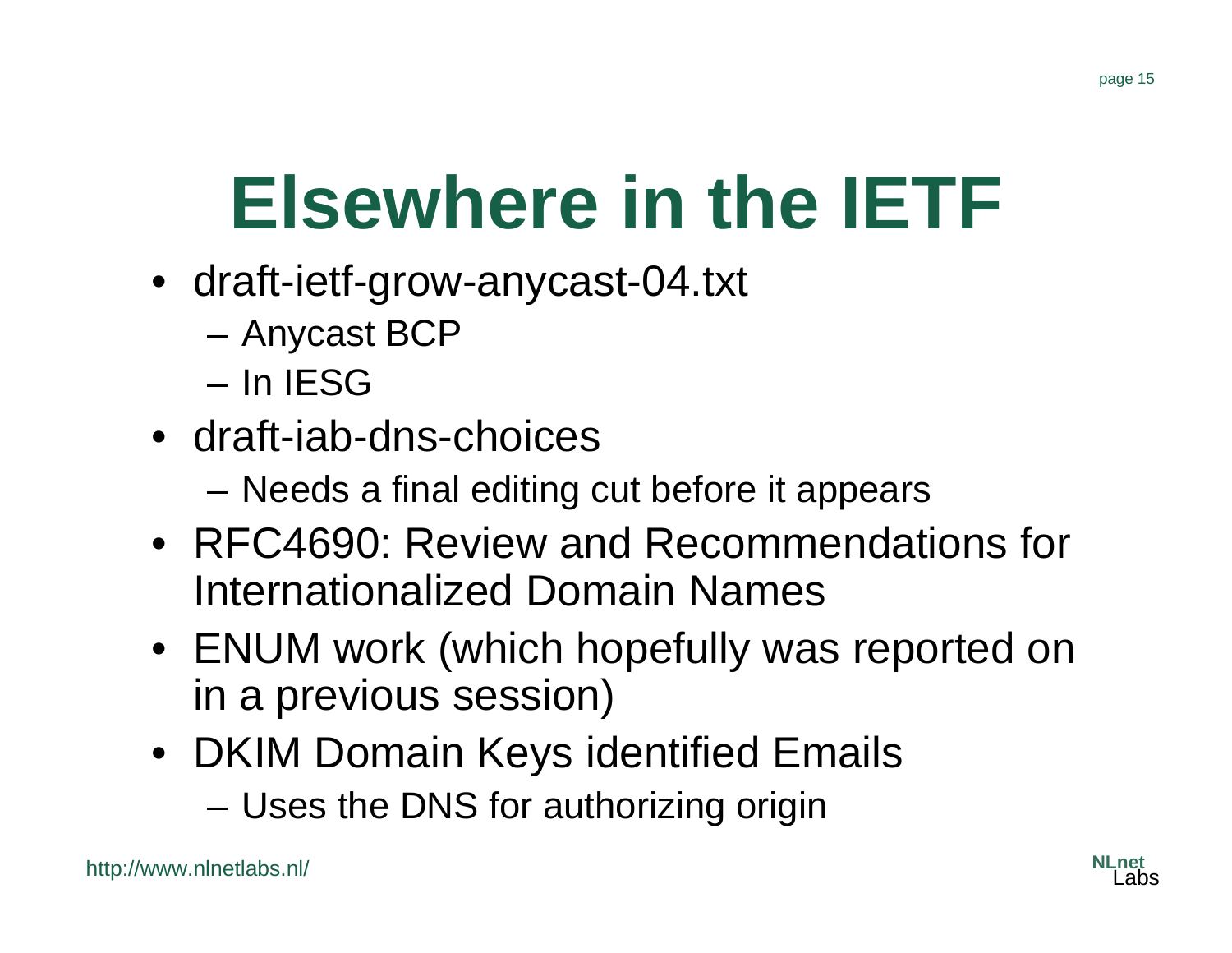## **Elsewhere in the IETF**

- draft-ietf-grow-anycast-04.txt
	- –Anycast BCP
	- In IESG
- draft-iab-dns-choices
	- **Links of the Company** Needs a final editing cut before it appears
- RFC4690: Review and Recommendations for Internationalized Domain Names
- ENUM work (which hopefully was reported on in a previous session)
- DKIM Domain Keys identified Emails –Uses the DNS for authorizing origin